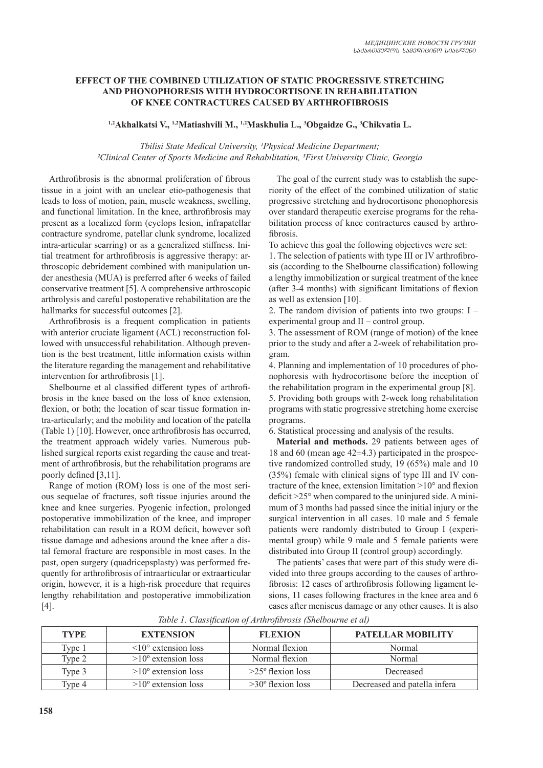#### **EFFECT OF THE COMBINED UTILIZATION OF STATIC PROGRESSIVE STRETCHING AND PHONOPHORESIS WITH HYDROCORTISONE IN REHABILITATION OF KNEE CONTRACTURES CAUSED BY ARTHROFIBROSIS**

**1,2Akhalkatsi V., 1,2Matiashvili M., 1,2Maskhulia L., 3 Obgaidze G., 3 Chikvatia L.**

Tbilisi State Medical University, <sup>1</sup>Physical Medicine Department; *²Clinical Center of Sports Medicine and Rehabilitation, ³First University Clinic, Georgia*

Arthrofibrosis is the abnormal proliferation of fibrous tissue in a joint with an unclear etio-pathogenesis that leads to loss of motion, pain, muscle weakness, swelling, and functional limitation. In the knee, arthrofibrosis may present as a localized form (cyclops lesion, infrapatellar contracture syndrome, patellar clunk syndrome, localized intra-articular scarring) or as a generalized stiffness. Initial treatment for arthrofibrosis is aggressive therapy: arthroscopic debridement combined with manipulation under anesthesia (MUA) is preferred after 6 weeks of failed conservative treatment [5]. A comprehensive arthroscopic arthrolysis and careful postoperative rehabilitation are the hallmarks for successful outcomes [2].

Arthrofibrosis is a frequent complication in patients with anterior cruciate ligament (ACL) reconstruction followed with unsuccessful rehabilitation. Although prevention is the best treatment, little information exists within the literature regarding the management and rehabilitative intervention for arthrofibrosis [1].

Shelbourne et al classified different types of arthrofibrosis in the knee based on the loss of knee extension, flexion, or both; the location of scar tissue formation intra-articularly; and the mobility and location of the patella (Table 1) [10]. However, once arthrofibrosis has occurred, the treatment approach widely varies. Numerous published surgical reports exist regarding the cause and treatment of arthrofibrosis, but the rehabilitation programs are poorly defined [3,11].

Range of motion (ROM) loss is one of the most serious sequelae of fractures, soft tissue injuries around the knee and knee surgeries. Pyogenic infection, prolonged postoperative immobilization of the knee, and improper rehabilitation can result in a ROM deficit, however soft tissue damage and adhesions around the knee after a distal femoral fracture are responsible in most cases. In the past, open surgery (quadricepsplasty) was performed frequently for arthrofibrosis of intraarticular or extraarticular origin, however, it is a high-risk procedure that requires lengthy rehabilitation and postoperative immobilization [4].

The goal of the current study was to establish the superiority of the effect of the combined utilization of static progressive stretching and hydrocortisone phonophoresis over standard therapeutic exercise programs for the rehabilitation process of knee contractures caused by arthrofibrosis.

To achieve this goal the following objectives were set:

1. The selection of patients with type III or IV arthrofibrosis (according to the Shelbourne classification) following a lengthy immobilization or surgical treatment of the knee (after 3-4 months) with significant limitations of flexion as well as extension [10].

2. The random division of patients into two groups: I – experimental group and II – control group.

3. The assessment of ROM (range of motion) of the knee prior to the study and after a 2-week of rehabilitation program.

4. Planning and implementation of 10 procedures of phonophoresis with hydrocortisone before the inception of the rehabilitation program in the experimental group [8].

5. Providing both groups with 2-week long rehabilitation programs with static progressive stretching home exercise programs.

6. Statistical processing and analysis of the results.

**Material and methods.** 29 patients between ages of 18 and 60 (mean age 42±4.3) participated in the prospective randomized controlled study, 19 (65%) male and 10 (35%) female with clinical signs of type III and IV contracture of the knee, extension limitation  $>10^{\circ}$  and flexion deficit  $>25^\circ$  when compared to the uninjured side. A minimum of 3 months had passed since the initial injury or the surgical intervention in all cases. 10 male and 5 female patients were randomly distributed to Group I (experimental group) while 9 male and 5 female patients were distributed into Group II (control group) accordingly.

The patients' cases that were part of this study were divided into three groups according to the causes of arthrofibrosis: 12 cases of arthrofibrosis following ligament lesions, 11 cases following fractures in the knee area and 6 cases after meniscus damage or any other causes. It is also

| <b>TYPE</b> | <b>EXTENSION</b>                 | <b>FLEXION</b>             | <b>PATELLAR MOBILITY</b>     |
|-------------|----------------------------------|----------------------------|------------------------------|
| Type 1      | $\leq 10^{\circ}$ extension loss | Normal flexion             | Normal                       |
| Type 2      | $>10^{\circ}$ extension loss     | Normal flexion             | Normal                       |
| Type 3      | $>10^{\circ}$ extension loss     | $>25^\circ$ flexion loss   | Decreased                    |
| Tvpe 4      | $>10^{\circ}$ extension loss     | $>30^{\circ}$ flexion loss | Decreased and patella infera |

*Table 1. Classification of Arthrofibrosis (Shelbourne et al)*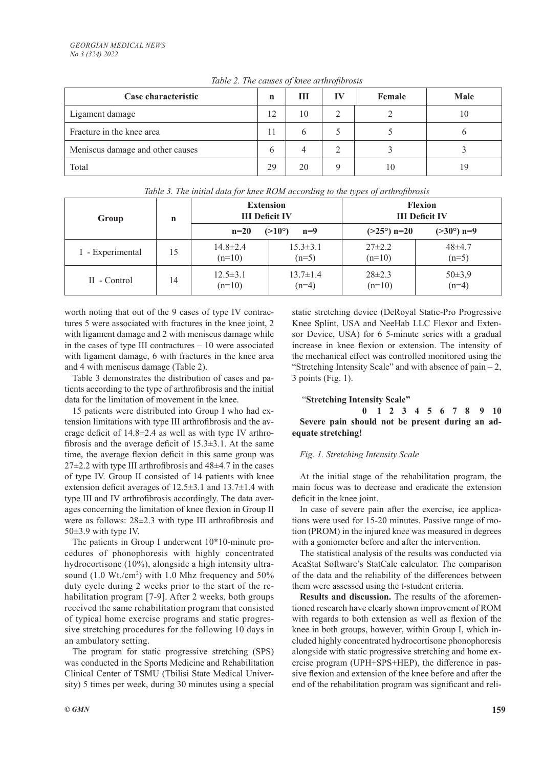| Case characteristic              | n  | Ш  | Female | <b>Male</b> |
|----------------------------------|----|----|--------|-------------|
| Ligament damage                  | 12 | 10 |        | 10          |
| Fracture in the knee area        | 11 |    |        |             |
| Meniscus damage and other causes | h  |    |        |             |
| Total                            | 29 | 20 |        | 19          |

*Table 2. The causes of knee arthrofibrosis*

| Table 3. The initial data for knee ROM according to the types of arthrofibrosis |    |                                           |                           |                                         |                         |  |  |  |  |  |
|---------------------------------------------------------------------------------|----|-------------------------------------------|---------------------------|-----------------------------------------|-------------------------|--|--|--|--|--|
| Group                                                                           | n  | <b>Extension</b><br><b>III</b> Deficit IV |                           | <b>Flexion</b><br><b>III</b> Deficit IV |                         |  |  |  |  |  |
|                                                                                 |    | $n=20$                                    | $(>10^{\circ})$<br>$n=9$  | $(>25^{\circ})$ n=20                    | $(>30^{\circ})$ n=9     |  |  |  |  |  |
| I - Experimental                                                                | 15 | $14.8 \pm 2.4$<br>$(n=10)$                | $15.3 \pm 3.1$<br>$(n=5)$ | $27\pm2.2$<br>$(n=10)$                  | $48 + 4.7$<br>$(n=5)$   |  |  |  |  |  |
| II - Control                                                                    | 14 | $12.5 \pm 3.1$<br>$(n=10)$                | $13.7 \pm 1.4$<br>$(n=4)$ | $28\pm2.3$<br>$(n=10)$                  | $50 \pm 3.9$<br>$(n=4)$ |  |  |  |  |  |

*Table 3. The initial data for knee ROM according to the types of arthrofibrosis*

worth noting that out of the 9 cases of type IV contractures 5 were associated with fractures in the knee joint, 2 with ligament damage and 2 with meniscus damage while in the cases of type III contractures – 10 were associated with ligament damage, 6 with fractures in the knee area and 4 with meniscus damage (Table 2).

Table 3 demonstrates the distribution of cases and patients according to the type of arthrofibrosis and the initial data for the limitation of movement in the knee.

15 patients were distributed into Group I who had extension limitations with type III arthrofibrosis and the average deficit of 14.8±2.4 as well as with type IV arthrofibrosis and the average deficit of 15.3±3.1. At the same time, the average flexion deficit in this same group was  $27\pm2.2$  with type III arthrofibrosis and  $48\pm4.7$  in the cases of type IV. Group II consisted of 14 patients with knee extension deficit averages of 12.5±3.1 and 13.7±1.4 with type III and IV arthrofibrosis accordingly. The data averages concerning the limitation of knee flexion in Group II were as follows: 28±2.3 with type III arthrofibrosis and 50±3.9 with type IV.

The patients in Group I underwent 10\*10-minute procedures of phonophoresis with highly concentrated hydrocortisone (10%), alongside a high intensity ultrasound (1.0 Wt./cm<sup>2</sup>) with 1.0 Mhz frequency and 50% duty cycle during 2 weeks prior to the start of the rehabilitation program [7-9]. After 2 weeks, both groups received the same rehabilitation program that consisted of typical home exercise programs and static progressive stretching procedures for the following 10 days in an ambulatory setting.

The program for static progressive stretching (SPS) was conducted in the Sports Medicine and Rehabilitation Clinical Center of TSMU (Tbilisi State Medical University) 5 times per week, during 30 minutes using a special static stretching device (DeRoyal Static-Pro Progressive Knee Splint, USA and NeeHab LLC Flexor and Extensor Device, USA) for 6 5-minute series with a gradual increase in knee flexion or extension. The intensity of the mechanical effect was controlled monitored using the "Stretching Intensity Scale" and with absence of pain  $-2$ , 3 points (Fig. 1).

# "**Stretching Intensity Scale"**

 **0 1 2 3 4 5 6 7 8 9 10 Severe pain should not be present during an adequate stretching!**

## *Fig. 1. Stretching Intensity Scale*

At the initial stage of the rehabilitation program, the main focus was to decrease and eradicate the extension deficit in the knee joint.

In case of severe pain after the exercise, ice applications were used for 15-20 minutes. Passive range of motion (PROM) in the injured knee was measured in degrees with a goniometer before and after the intervention.

The statistical analysis of the results was conducted via AcaStat Software's StatCalc calculator. The comparison of the data and the reliability of the differences between them were assessed using the t-student criteria.

**Results and discussion.** The results of the aforementioned research have clearly shown improvement of ROM with regards to both extension as well as flexion of the knee in both groups, however, within Group I, which included highly concentrated hydrocortisone phonophoresis alongside with static progressive stretching and home exercise program (UPH+SPS+HEP), the difference in passive flexion and extension of the knee before and after the end of the rehabilitation program was significant and reli-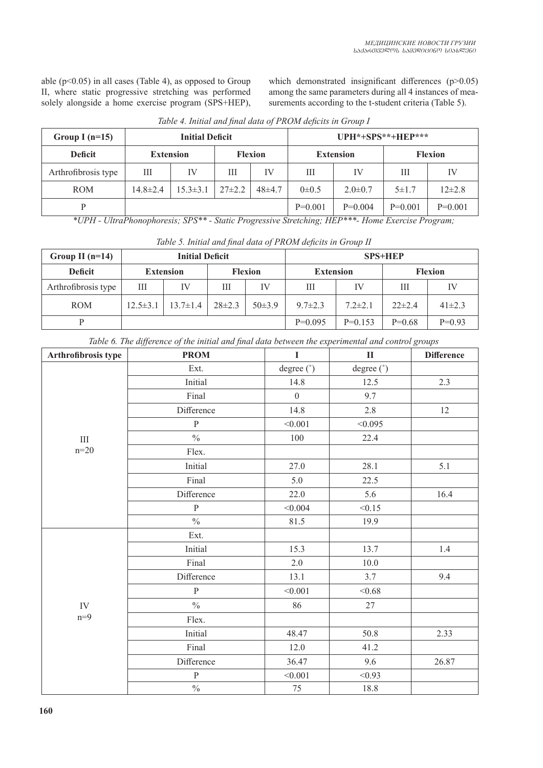able (p˂0.05) in all cases (Table 4), as opposed to Group II, where static progressive stretching was performed solely alongside a home exercise program (SPS+HEP), which demonstrated insignificant differences  $(p>0.05)$ among the same parameters during all 4 instances of measurements according to the t-student criteria (Table 5).

| Group I $(n=15)$    |                  | <b>Initial Deficit</b> |                |            | UPH*+SPS**+HEP*** |               |                |            |  |
|---------------------|------------------|------------------------|----------------|------------|-------------------|---------------|----------------|------------|--|
| <b>Deficit</b>      | <b>Extension</b> |                        | <b>Flexion</b> |            | <b>Extension</b>  |               | <b>Flexion</b> |            |  |
| Arthrofibrosis type | Ш                | IV                     | Ш              | IV         | Ш                 | IV            | Ш              | IV         |  |
| <b>ROM</b>          | $14.8 \pm 2.4$   | $15.3 \pm 3.1$         | $27\pm2.2$     | $48\pm4.7$ | $0\pm 0.5$        | $2.0 \pm 0.7$ | $5 \pm 1.7$    | $12\pm2.8$ |  |
|                     |                  |                        |                |            | $P=0.001$         | $P=0.004$     | $P=0.001$      | $P=0.001$  |  |

*Table 4. Initial and final data of PROM deficits in Group I*

*\*UPH - UltraPhonophoresis; SPS\*\* - Static Progressive Stretching; HEP\*\*\*- Home Exercise Program;*

| <b>Initial Deficit</b><br>Group II $(n=14)$ |                  |                |                |              | <b>SPS+HEP</b>   |               |                |              |  |  |
|---------------------------------------------|------------------|----------------|----------------|--------------|------------------|---------------|----------------|--------------|--|--|
| <b>Deficit</b>                              | <b>Extension</b> |                | <b>Flexion</b> |              | <b>Extension</b> |               | <b>Flexion</b> |              |  |  |
| Arthrofibrosis type                         | Ш<br>IV          |                | Ш              | IV           | Ш                | IV            | Ш              | IV           |  |  |
| <b>ROM</b>                                  | $12.5 \pm 3.1$   | $13.7 \pm 1.4$ | $28\pm2.3$     | $50 \pm 3.9$ | $9.7 \pm 2.3$    | $7.2 \pm 2.1$ | $22\pm 2.4$    | $41 \pm 2.3$ |  |  |
|                                             |                  |                |                |              | $P=0.095$        | $P=0.153$     | $P=0.68$       | $P=0.93$     |  |  |

*Table 5. Initial and final data of PROM deficits in Group II*

|  |  |  |  | Table 6. The difference of the initial and final data between the experimental and control groups |  |  |
|--|--|--|--|---------------------------------------------------------------------------------------------------|--|--|
|  |  |  |  |                                                                                                   |  |  |
|  |  |  |  |                                                                                                   |  |  |
|  |  |  |  |                                                                                                   |  |  |

| Arthrofibrosis type | <b>PROM</b>   | $\mathbf I$  | $\mathbf{I}$ | <b>Difference</b> |
|---------------------|---------------|--------------|--------------|-------------------|
|                     | Ext.          | degree (°)   | degree (°)   |                   |
|                     | Initial       | 14.8         | 12.5         | 2.3               |
|                     | Final         | $\mathbf{0}$ | 9.7          |                   |
|                     | Difference    | 14.8         | 2.8          | 12                |
|                     | ${\bf P}$     | < 0.001      | < 0.095      |                   |
| III                 | $\frac{0}{0}$ | 100          | 22.4         |                   |
| $n = 20$            | Flex.         |              |              |                   |
|                     | Initial       | 27.0         | 28.1         | 5.1               |
|                     | Final         | 5.0          | 22.5         |                   |
|                     | Difference    | 22.0         | 5.6          | 16.4              |
|                     | ${\bf P}$     | < 0.004      | < 0.15       |                   |
|                     | $\frac{0}{0}$ | 81.5         | 19.9         |                   |
|                     | Ext.          |              |              |                   |
|                     | Initial       | 15.3         | 13.7         | 1.4               |
|                     | Final         | 2.0          | 10.0         |                   |
|                     | Difference    | 13.1         | 3.7          | 9.4               |
|                     | ${\bf P}$     | < 0.001      | < 0.68       |                   |
| ${\rm IV}$          | $\frac{0}{0}$ | 86           | $27\,$       |                   |
| $n=9$               | Flex.         |              |              |                   |
|                     | Initial       | 48.47        | 50.8         | 2.33              |
|                     | Final         | 12.0         | 41.2         |                   |
|                     | Difference    | 36.47        | 9.6          | 26.87             |
|                     | $\mathbf{P}$  | < 0.001      | < 0.93       |                   |
|                     | $\frac{0}{0}$ | $75\,$       | 18.8         |                   |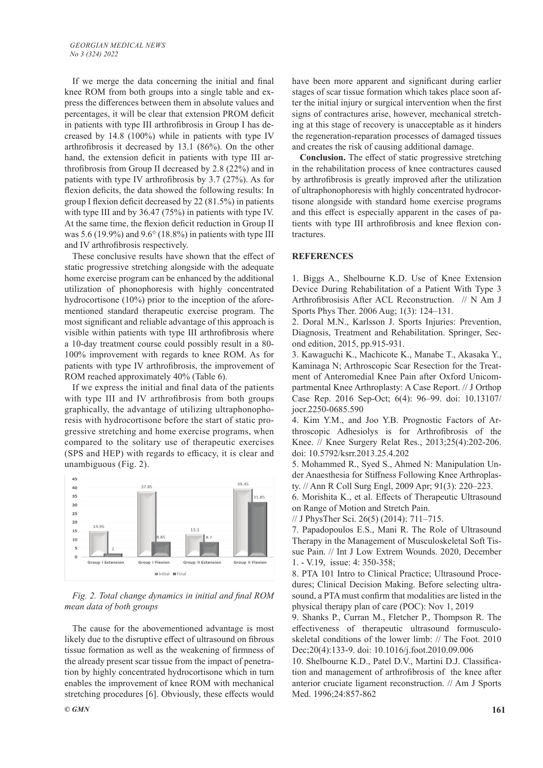If we merge the data concerning the initial and final knee ROM from both groups into a single table and express the differences between them in absolute values and percentages, it will be clear that extension PROM deficit in patients with type III arthrofibrosis in Group I has decreased by 14.8 (100%) while in patients with type IV arthrofibrosis it decreased by 13.1 (86%). On the other hand, the extension deficit in patients with type III arthrofibrosis from Group II decreased by 2.8 (22%) and in patients with type IV arthrofibrosis by 3.7 (27%). As for flexion deficits, the data showed the following results: In group I flexion deficit decreased by 22 (81.5%) in patients with type III and by 36.47 (75%) in patients with type IV. At the same time, the flexion deficit reduction in Group II was 5.6 (19.9%) and 9.6° (18.8%) in patients with type III and IV arthrofibrosis respectively.

These conclusive results have shown that the effect of static progressive stretching alongside with the adequate home exercise program can be enhanced by the additional utilization of phonophoresis with highly concentrated hydrocortisone (10%) prior to the inception of the aforementioned standard therapeutic exercise program. The most significant and reliable advantage of this approach is visible within patients with type III arthrofibrosis where a 10-day treatment course could possibly result in a 80- 100% improvement with regards to knee ROM. As for patients with type IV arthrofibrosis, the improvement of ROM reached approximately 40% (Table 6).

If we express the initial and final data of the patients with type III and IV arthrofibrosis from both groups graphically, the advantage of utilizing ultraphonophoresis with hydrocortisone before the start of static progressive stretching and home exercise programs, when compared to the solitary use of therapeutic exercises (SPS and HEP) with regards to efficacy, it is clear and unambiguous (Fig. 2).



*Fig. 2. Total change dynamics in initial and final ROM mean data of both groups*

The cause for the abovementioned advantage is most likely due to the disruptive effect of ultrasound on fibrous tissue formation as well as the weakening of firmness of the already present scar tissue from the impact of penetration by highly concentrated hydrocortisone which in turn enables the improvement of knee ROM with mechanical stretching procedures [6]. Obviously, these effects would

**Conclusion.** The effect of static progressive stretching in the rehabilitation process of knee contractures caused by arthrofibrosis is greatly improved after the utilization of ultraphonophoresis with highly concentrated hydrocortisone alongside with standard home exercise programs and this effect is especially apparent in the cases of patients with type III arthrofibrosis and knee flexion contractures.

#### **REFERENCES**

1. Biggs A., Shelbourne K.D. Use of Knee Extension Device During Rehabilitation of a Patient With Type 3 Arthrofibrosisis After ACL Reconstruction. // N Am J Sports Phys Ther. 2006 Aug; 1(3): 124–131.

2. Doral M.N., Karlsson J. Sports Injuries: Prevention, Diagnosis, Treatment and Rehabilitation. Springer, Second edition, 2015, pp.915-931.

3. Kawaguchi K., Machicote K., Manabe T., Akasaka Y., Kaminaga N; Arthroscopic Scar Resection for the Treatment of Anteromedial Knee Pain after Oxford Unicompartmental Knee Arthroplasty: A Case Report. // J Orthop Case Rep. 2016 Sep-Oct; 6(4): 96–99. doi: 10.13107/ jocr.2250-0685.590

4. Kim Y.M., and Joo Y.B. Prognostic Factors of Arthroscopic Adhesiolys is for Arthrofibrosis of the Knee. // Knee Surgery Relat Res., 2013;25(4):202-206. doi: 10.5792/ksrr.2013.25.4.202

5. Mohammed R., Syed S., Ahmed N: Manipulation Under Anaesthesia for Stiffness Following Knee Arthroplasty. // Ann R Coll Surg Engl, 2009 Apr; 91(3): 220–223.

6. Morishita K., et al. Effects of Therapeutic Ultrasound on Range of Motion and Stretch Pain.

// J PhysTher Sci. 26(5) (2014): 711–715.

7. Papadopoulos E.S., Mani R. The Role of Ultrasound Therapy in the Management of Musculoskeletal Soft Tissue Pain. // Int J Low Extrem Wounds. 2020, December 1. - V.19, issue: 4: 350-358;

8. PTA 101 Intro to Clinical Practice; Ultrasound Procedures; Clinical Decision Making. Before selecting ultrasound, a PTA must confirm that modalities are listed in the physical therapy plan of care (POC): Nov 1, 2019

9. Shanks P., Curran M., Fletcher P., Thompson R. The effectiveness of therapeutic ultrasound formusculoskeletal conditions of the lower limb: // The Foot. 2010 Dec;20(4):133-9. doi: 10.1016/j.foot.2010.09.006

10. Shelbourne K.D., Patel D.V., Martini D.J. Classification and management of arthrofibrosis of the knee after anterior cruciate ligament reconstruction. // Am J Sports Med. 1996;24:857-862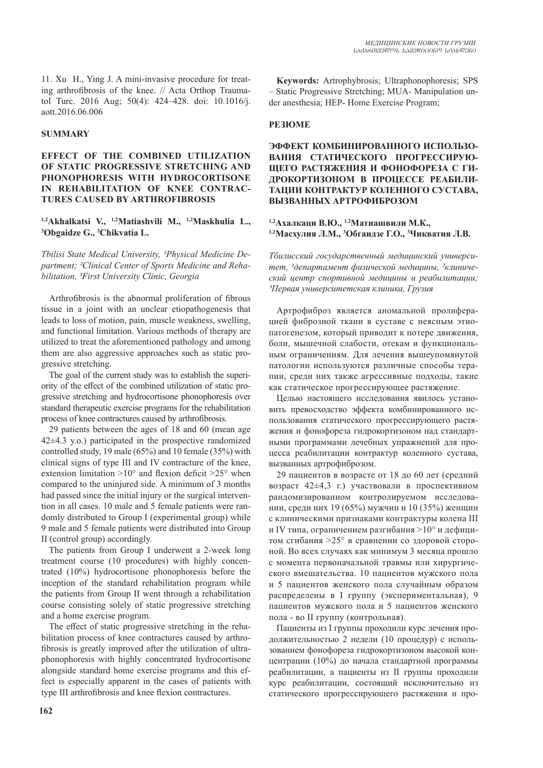11. Xu H., Ying J. A mini-invasive procedure for treating arthrofibrosis of the knee. // Acta Orthop Traumatol Turc. 2016 Aug; 50(4): 424–428. doi: 10.1016/j. aott.2016.06.006

#### **SUMMARY**

#### **EFFECT OF THE COMBINED UTILIZATION OF STATIC PROGRESSIVE STRETCHING AND PHONOPHORESIS WITH HYDROCORTISONE IN REHABILITATION OF KNEE CONTRAC-TURES CAUSED BY ARTHROFIBROSIS**

### <sup>1,2</sup>Akhalkatsi V., <sup>1,2</sup>Matiashvili M., <sup>1,2</sup>Maskhulia L., **Obgaidze G., 3 Chikvatia L.**

Tbilisi State Medical University, <sup>1</sup>Physical Medicine De*partment; ²Clinical Center of Sports Medicine and Rehabilitation, ³First University Clinic, Georgia*

Arthrofibrosis is the abnormal proliferation of fibrous tissue in a joint with an unclear etiopathogenesis that leads to loss of motion, pain, muscle weakness, swelling, and functional limitation. Various methods of therapy are utilized to treat the aforementioned pathology and among them are also aggressive approaches such as static progressive stretching.

The goal of the current study was to establish the superiority of the effect of the combined utilization of static progressive stretching and hydrocortisone phonophoresis over standard therapeutic exercise programs for the rehabilitation process of knee contractures caused by arthrofibrosis.

29 patients between the ages of 18 and 60 (mean age 42±4.3 y.o.) participated in the prospective randomized controlled study, 19 male (65%) and 10 female (35%) with clinical signs of type III and IV contracture of the knee, extension limitation  $>10^{\circ}$  and flexion deficit  $>25^{\circ}$  when compared to the uninjured side. A minimum of 3 months had passed since the initial injury or the surgical intervention in all cases. 10 male and 5 female patients were randomly distributed to Group I (experimental group) while 9 male and 5 female patients were distributed into Group II (control group) accordingly.

The patients from Group I underwent a 2-week long treatment course (10 procedures) with highly concentrated (10%) hydrocortisone phonophoresis before the inception of the standard rehabilitation program while the patients from Group II went through a rehabilitation course consisting solely of static progressive stretching and a home exercise program.

The effect of static progressive stretching in the rehabilitation process of knee contractures caused by arthrofibrosis is greatly improved after the utilization of ultraphonophoresis with highly concentrated hydrocortisone alongside standard home exercise programs and this effect is especially apparent in the cases of patients with type III arthrofibrosis and knee flexion contractures.

**Keywords:** Artrophybrosis; Ultraphonophoresis; SPS – Static Progressive Stretching; MUA- Manipulation under anesthesia; HEP- Home Exercise Program;

#### **РЕЗЮМЕ**

**ЭФФЕКТ КОМБИНИРОВАННОГО ИСПОЛЬЗО-ВАНИЯ СТАТИЧЕСКОГО ПРОГРЕССИРУЮ-ЩЕГО РАСТЯЖЕНИЯ И ФОНОФОРЕЗА С ГИ-ДРОКОРТИЗОНОМ В ПРОЦЕССЕ РЕАБИЛИ-ТАЦИИ КОНТРАКТУР КОЛЕННОГО СУСТАВА, ВЫЗВАННЫХ АРТРОФИБРОЗОМ**

### **1,2Ахалкаци В.Ю., 1,2Матиашвили М.К., 1,2Масхулия Л.М., <sup>3</sup> Обгаидзе Г.О., <sup>3</sup> Чикватия Л.В.**

*Тбилисский государственный медицинский универси*тет, <sup>1</sup>департамент физической медицины, <sup>2</sup>клиниче*ский центр спортивной медицины и реабилитации; ³Первая университетская клиника, Грузия*

Артрофиброз является аномальной пролиферацией фиброзной ткани в суставе с неясным этиопатогенезом, который приводит к потере движения, боли, мышечной слабости, отекам и функциональным ограничениям. Для лечения вышеупомянутой патологии используются различные способы терапии, среди них также агрессивные подходы, такие как статическое прогрессирующее растяжение.

Целью настоящего исследования явилось установить превосходство эффекта комбинированного использования статического прогрессирующего растяжения и фонофореза гидрокортизоном над стандартными программами лечебных упражнений для процесса реабилитации контрактур коленного сустава, вызванных артрофиброзом.

29 пациентов в возрасте от 18 до 60 лет (средний возраст 42±4,3 г.) участвовали в проспективном рандомизированном контролируемом исследовании, среди них 19 (65%) мужчин и 10 (35%) женщин с клиническими признаками контрактуры колена III и IV типа, ограничением разгибания ˃10° и дефицитом сгибания ˃25° в сравнении со здоровой стороной. Во всех случаях как минимум 3 месяца прошло с момента первоначальной травмы или хирургического вмешательства. 10 пациентов мужского пола и 5 пациентов женского пола случайным образом распределены в I группу (экспериментальная), 9 пациентов мужского пола и 5 пациентов женского пола - во II группу (контрольная).

Пациенты из I группы проходили курс лечения продолжительностью 2 недели (10 процедур) с использованием фонофореза гидрокортизоном высокой концентрации (10%) до начала стандартной программы реабилитации, а пациенты из II группы проходили курс реабилитации, состоящий исключительно из статического прогрессирующего растяжения и про